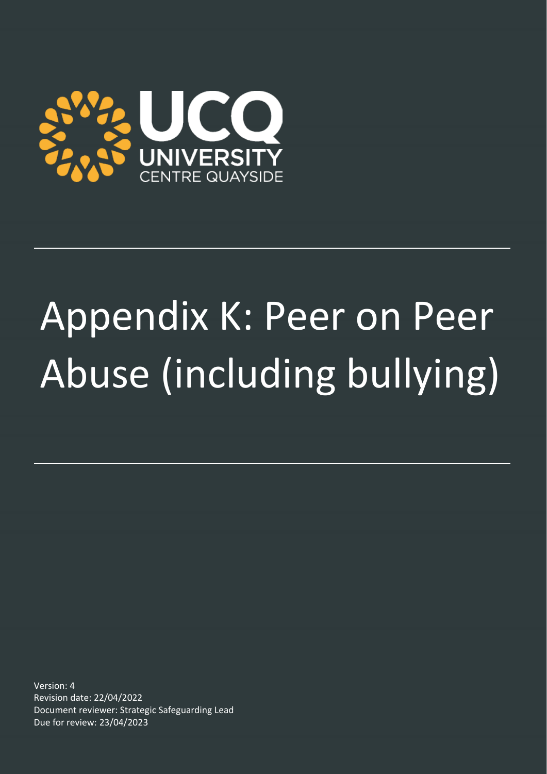

# Appendix K: Peer on Peer Abuse (including bullying)

Version: 4 Revision date: 22/04/2022 Document reviewer: Strategic Safeguarding Lead Due for review: 23/04/2023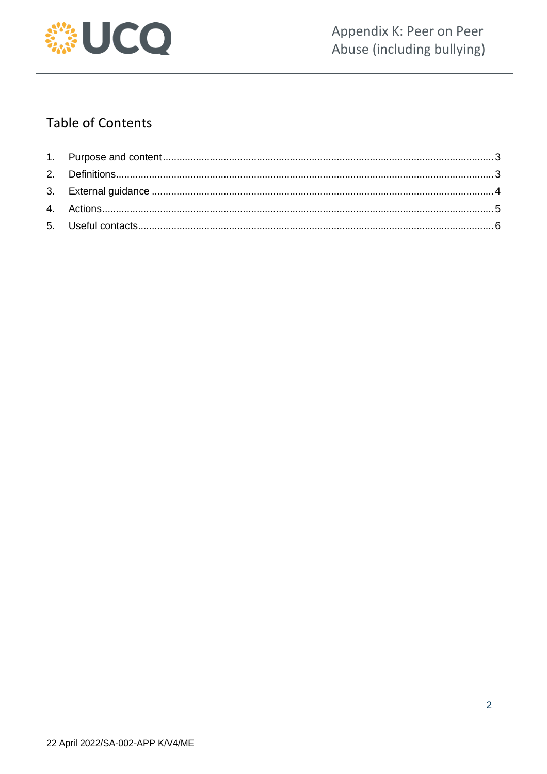

## **Table of Contents**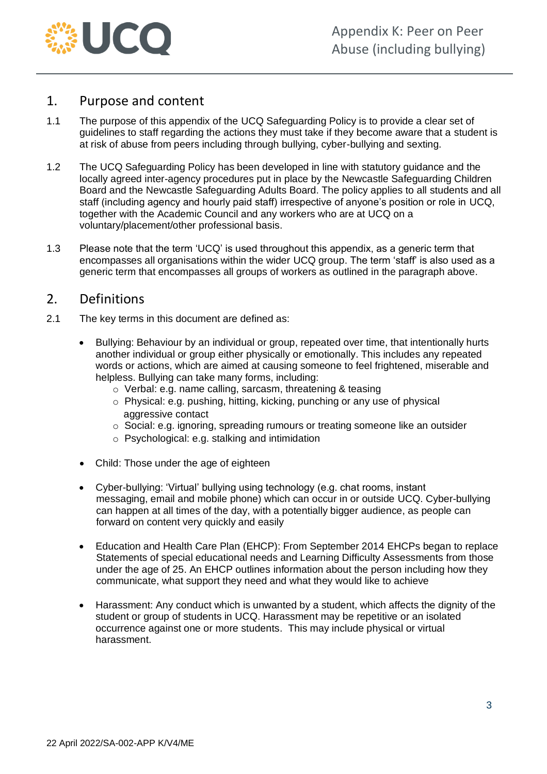

#### <span id="page-2-0"></span>1. Purpose and content

- 1.1 The purpose of this appendix of the UCQ Safeguarding Policy is to provide a clear set of guidelines to staff regarding the actions they must take if they become aware that a student is at risk of abuse from peers including through bullying, cyber-bullying and sexting.
- 1.2 The UCQ Safeguarding Policy has been developed in line with statutory guidance and the locally agreed inter-agency procedures put in place by the Newcastle Safeguarding Children Board and the Newcastle Safeguarding Adults Board. The policy applies to all students and all staff (including agency and hourly paid staff) irrespective of anyone's position or role in UCQ, together with the Academic Council and any workers who are at UCQ on a voluntary/placement/other professional basis.
- 1.3 Please note that the term 'UCQ' is used throughout this appendix, as a generic term that encompasses all organisations within the wider UCQ group. The term 'staff' is also used as a generic term that encompasses all groups of workers as outlined in the paragraph above.

#### <span id="page-2-1"></span>2. Definitions

- 2.1 The key terms in this document are defined as:
	- Bullying: Behaviour by an individual or group, repeated over time, that intentionally hurts another individual or group either physically or emotionally. This includes any repeated words or actions, which are aimed at causing someone to feel frightened, miserable and helpless. Bullying can take many forms, including:
		- o Verbal: e.g. name calling, sarcasm, threatening & teasing
		- o Physical: e.g. pushing, hitting, kicking, punching or any use of physical aggressive contact
		- o Social: e.g. ignoring, spreading rumours or treating someone like an outsider
		- o Psychological: e.g. stalking and intimidation
	- Child: Those under the age of eighteen
	- Cyber-bullying: 'Virtual' bullying using technology (e.g. chat rooms, instant messaging, email and mobile phone) which can occur in or outside UCQ. Cyber-bullying can happen at all times of the day, with a potentially bigger audience, as people can forward on content very quickly and easily
	- Education and Health Care Plan (EHCP): From September 2014 EHCPs began to replace Statements of special educational needs and Learning Difficulty Assessments from those under the age of 25. An EHCP outlines information about the person including how they communicate, what support they need and what they would like to achieve
	- Harassment: Any conduct which is unwanted by a student, which affects the dignity of the student or group of students in UCQ. Harassment may be repetitive or an isolated occurrence against one or more students. This may include physical or virtual harassment.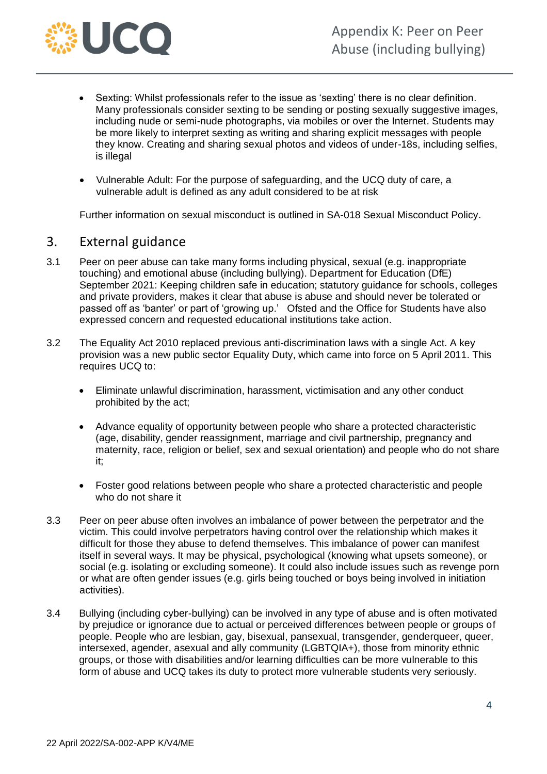

- Sexting: Whilst professionals refer to the issue as 'sexting' there is no clear definition. Many professionals consider sexting to be sending or posting sexually suggestive images, including nude or semi-nude photographs, via mobiles or over the Internet. Students may be more likely to interpret sexting as writing and sharing explicit messages with people they know. Creating and sharing sexual photos and videos of under-18s, including selfies, is illegal
- Vulnerable Adult: For the purpose of safeguarding, and the UCQ duty of care, a vulnerable adult is defined as any adult considered to be at risk

Further information on sexual misconduct is outlined in SA-018 Sexual Misconduct Policy.

#### <span id="page-3-0"></span>3. External guidance

- 3.1 Peer on peer abuse can take many forms including physical, sexual (e.g. inappropriate touching) and emotional abuse (including bullying). Department for Education (DfE) September 2021: Keeping children safe in education; statutory guidance for schools, colleges and private providers, makes it clear that abuse is abuse and should never be tolerated or passed off as 'banter' or part of 'growing up.' Ofsted and the Office for Students have also expressed concern and requested educational institutions take action.
- 3.2 The Equality Act 2010 replaced previous anti-discrimination laws with a single Act. A key provision was a new public sector Equality Duty, which came into force on 5 April 2011. This requires UCQ to:
	- Eliminate unlawful discrimination, harassment, victimisation and any other conduct prohibited by the act;
	- Advance equality of opportunity between people who share a protected characteristic (age, disability, gender reassignment, marriage and civil partnership, pregnancy and maternity, race, religion or belief, sex and sexual orientation) and people who do not share it;
	- Foster good relations between people who share a protected characteristic and people who do not share it
- 3.3 Peer on peer abuse often involves an imbalance of power between the perpetrator and the victim. This could involve perpetrators having control over the relationship which makes it difficult for those they abuse to defend themselves. This imbalance of power can manifest itself in several ways. It may be physical, psychological (knowing what upsets someone), or social (e.g. isolating or excluding someone). It could also include issues such as revenge porn or what are often gender issues (e.g. girls being touched or boys being involved in initiation activities).
- 3.4 Bullying (including cyber-bullying) can be involved in any type of abuse and is often motivated by prejudice or ignorance due to actual or perceived differences between people or groups of people. People who are lesbian, gay, bisexual, pansexual, transgender, genderqueer, queer, intersexed, agender, asexual and ally community (LGBTQIA+), those from minority ethnic groups, or those with disabilities and/or learning difficulties can be more vulnerable to this form of abuse and UCQ takes its duty to protect more vulnerable students very seriously.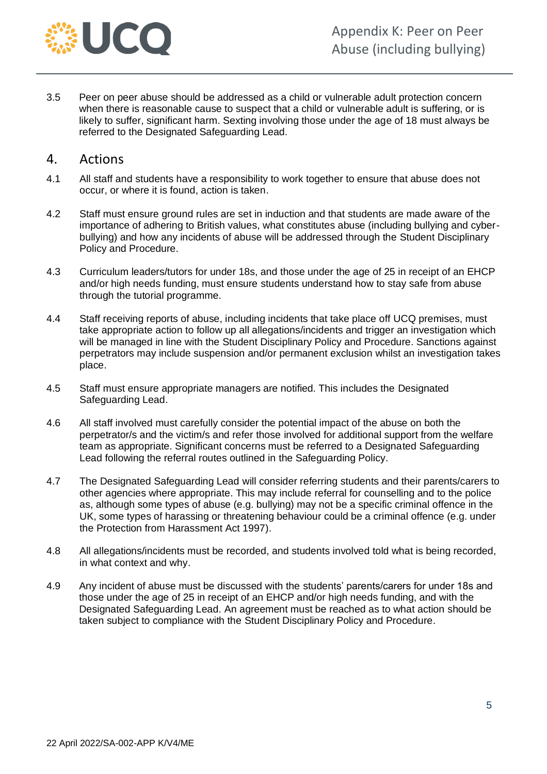

3.5 Peer on peer abuse should be addressed as a child or vulnerable adult protection concern when there is reasonable cause to suspect that a child or vulnerable adult is suffering, or is likely to suffer, significant harm. Sexting involving those under the age of 18 must always be referred to the Designated Safeguarding Lead.

#### <span id="page-4-0"></span>4. Actions

- 4.1 All staff and students have a responsibility to work together to ensure that abuse does not occur, or where it is found, action is taken.
- 4.2 Staff must ensure ground rules are set in induction and that students are made aware of the importance of adhering to British values, what constitutes abuse (including bullying and cyberbullying) and how any incidents of abuse will be addressed through the Student Disciplinary Policy and Procedure.
- 4.3 Curriculum leaders/tutors for under 18s, and those under the age of 25 in receipt of an EHCP and/or high needs funding, must ensure students understand how to stay safe from abuse through the tutorial programme.
- 4.4 Staff receiving reports of abuse, including incidents that take place off UCQ premises, must take appropriate action to follow up all allegations/incidents and trigger an investigation which will be managed in line with the Student Disciplinary Policy and Procedure. Sanctions against perpetrators may include suspension and/or permanent exclusion whilst an investigation takes place.
- 4.5 Staff must ensure appropriate managers are notified. This includes the Designated Safeguarding Lead.
- 4.6 All staff involved must carefully consider the potential impact of the abuse on both the perpetrator/s and the victim/s and refer those involved for additional support from the welfare team as appropriate. Significant concerns must be referred to a Designated Safeguarding Lead following the referral routes outlined in the Safeguarding Policy.
- 4.7 The Designated Safeguarding Lead will consider referring students and their parents/carers to other agencies where appropriate. This may include referral for counselling and to the police as, although some types of abuse (e.g. bullying) may not be a specific criminal offence in the UK, some types of harassing or threatening behaviour could be a criminal offence (e.g. under the Protection from Harassment Act 1997).
- 4.8 All allegations/incidents must be recorded, and students involved told what is being recorded, in what context and why.
- <span id="page-4-1"></span>4.9 Any incident of abuse must be discussed with the students' parents/carers for under 18s and those under the age of 25 in receipt of an EHCP and/or high needs funding, and with the Designated Safeguarding Lead. An agreement must be reached as to what action should be taken subject to compliance with the Student Disciplinary Policy and Procedure.